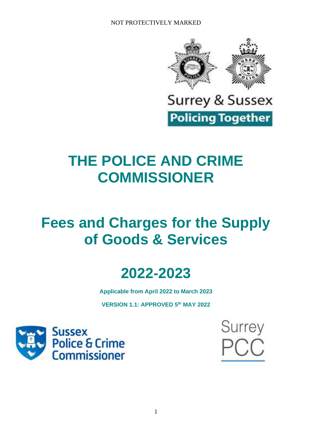

**Surrey & Sussex** 

**Policing Together** 

# **THE POLICE AND CRIME COMMISSIONER**

# **Fees and Charges for the Supply of Goods & Services**



**Applicable from April 2022 to March 2023**

**VERSION 1.1: APPROVED 5 th MAY 2022**



**Surrey** C.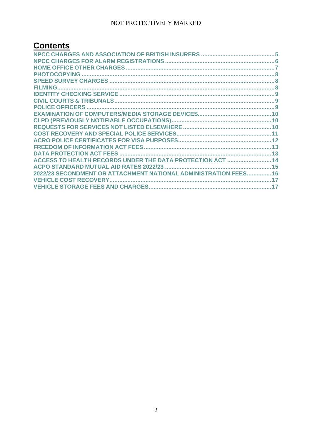## **Contents**

| ACCESS TO HEALTH RECORDS UNDER THE DATA PROTECTION ACT  14       |  |
|------------------------------------------------------------------|--|
|                                                                  |  |
| 2022/23 SECONDMENT OR ATTACHMENT NATIONAL ADMINISTRATION FEES 16 |  |
|                                                                  |  |
|                                                                  |  |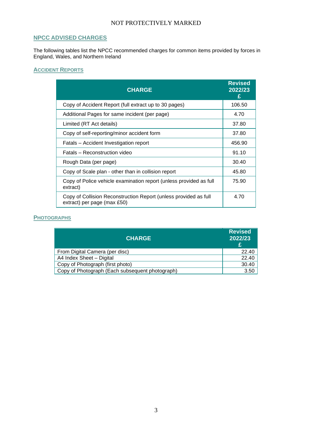## **NPCC ADVISED CHARGES**

The following tables list the NPCC recommended charges for common items provided by forces in England, Wales, and Northern Ireland

### **ACCIDENT REPORTS**

| <b>CHARGE</b>                                                                                   | <b>Revised</b><br>2022/23<br>£ |
|-------------------------------------------------------------------------------------------------|--------------------------------|
| Copy of Accident Report (full extract up to 30 pages)                                           | 106.50                         |
| Additional Pages for same incident (per page)                                                   | 4.70                           |
| Limited (RT Act details)                                                                        | 37.80                          |
| Copy of self-reporting/minor accident form                                                      | 37.80                          |
| Fatals - Accident Investigation report                                                          | 456.90                         |
| Fatals – Reconstruction video                                                                   | 91.10                          |
| Rough Data (per page)                                                                           | 30.40                          |
| Copy of Scale plan - other than in collision report                                             | 45.80                          |
| Copy of Police vehicle examination report (unless provided as full<br>extract)                  | 75.90                          |
| Copy of Collision Reconstruction Report (unless provided as full<br>extract) per page (max £50) | 4.70                           |

## **PHOTOGRAPHS**

| <b>CHARGE</b>                                   | <b>Revised</b><br>2022/23<br>£ |
|-------------------------------------------------|--------------------------------|
| From Digital Camera (per disc)                  | 22.40                          |
| A4 Index Sheet - Digital                        | 22.40                          |
| Copy of Photograph (first photo)                | 30.40                          |
| Copy of Photograph (Each subsequent photograph) | 3.50                           |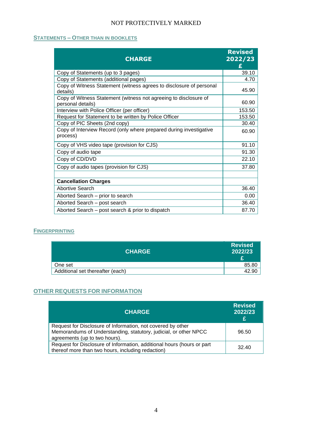## **STATEMENTS – OTHER THAN IN BOOKLETS**

| <b>CHARGE</b>                                                                         | <b>Revised</b><br>2022/23<br>£ |
|---------------------------------------------------------------------------------------|--------------------------------|
| Copy of Statements (up to 3 pages)                                                    | 39.10                          |
| Copy of Statements (additional pages)                                                 | 4.70                           |
| Copy of Witness Statement (witness agrees to disclosure of personal<br>details)       | 45.90                          |
| Copy of Witness Statement (witness not agreeing to disclosure of<br>personal details) | 60.90                          |
| Interview with Police Officer (per officer)                                           | 153.50                         |
| Request for Statement to be written by Police Officer                                 | 153.50                         |
| Copy of PIC Sheets (2nd copy)                                                         | 30.40                          |
| Copy of Interview Record (only where prepared during investigative<br>process)        | 60.90                          |
| Copy of VHS video tape (provision for CJS)                                            | 91.10                          |
| Copy of audio tape                                                                    | 91.30                          |
| Copy of CD/DVD                                                                        | 22.10                          |
| Copy of audio tapes (provision for CJS)                                               | 37.80                          |
| <b>Cancellation Charges</b>                                                           |                                |
| Abortive Search                                                                       | 36.40                          |
| Aborted Search – prior to search                                                      | 0.00                           |
| Aborted Search - post search                                                          | 36.40                          |
| Aborted Search - post search & prior to dispatch                                      | 87.70                          |

#### **FINGERPRINTING**

| <b>CHARGE</b>                    | <b>Revised</b><br>2022/23 |
|----------------------------------|---------------------------|
| One set                          | 85.80                     |
| Additional set thereafter (each) | 42.90                     |

## **OTHER REQUESTS FOR INFORMATION**

| <b>CHARGE</b>                                                                                                                                                    | <b>Revised</b><br>2022/23<br>£ |
|------------------------------------------------------------------------------------------------------------------------------------------------------------------|--------------------------------|
| Request for Disclosure of Information, not covered by other<br>Memorandums of Understanding, statutory, judicial, or other NPCC<br>agreements (up to two hours). | 96.50                          |
| Request for Disclosure of Information, additional hours (hours or part<br>thereof more than two hours, including redaction)                                      | 32.40                          |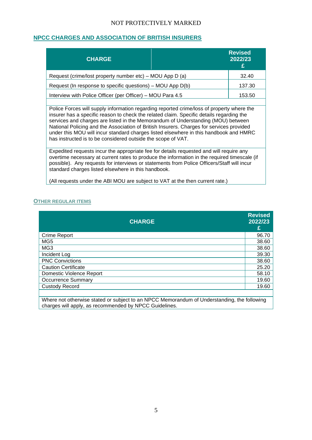### <span id="page-4-0"></span>**NPCC CHARGES AND ASSOCIATION OF BRITISH INSURERS**

| <b>CHARGE</b>                                              | <b>Revised</b><br>2022/23<br>£ |
|------------------------------------------------------------|--------------------------------|
| Request (crime/lost property number etc) – MOU App D (a)   | 32.40                          |
| Request (In response to specific questions) – MOU App D(b) | 137.30                         |
| Interview with Police Officer (per Officer) – MOU Para 4.5 | 153.50                         |
|                                                            |                                |

Police Forces will supply information regarding reported crime/loss of property where the insurer has a specific reason to check the related claim. Specific details regarding the services and charges are listed in the Memorandum of Understanding (MOU) between National Policing and the Association of British Insurers. Charges for services provided under this MOU will incur standard charges listed elsewhere in this handbook and HMRC has instructed is to be considered outside the scope of VAT.

Expedited requests incur the appropriate fee for details requested and will require any overtime necessary at current rates to produce the information in the required timescale (if possible). Any requests for interviews or statements from Police Officers/Staff will incur standard charges listed elsewhere in this handbook.

(All requests under the ABI MOU are subject to VAT at the then current rate.)

#### **OTHER REGULAR ITEMS**

|                            | <b>CHARGE</b> | <b>Revised</b><br>2022/23<br>£ |
|----------------------------|---------------|--------------------------------|
| Crime Report               |               | 96.70                          |
| MG <sub>5</sub>            |               | 38.60                          |
| MG <sub>3</sub>            |               | 38.60                          |
| Incident Log               |               | 39.30                          |
| <b>PNC Convictions</b>     |               | 38.60                          |
| <b>Caution Certificate</b> |               | 25.20                          |
| Domestic Violence Report   |               | 58.10                          |
| <b>Occurrence Summary</b>  |               | 19.60                          |
| <b>Custody Record</b>      |               | 19.60                          |
|                            |               |                                |

Where not otherwise stated or subject to an NPCC Memorandum of Understanding, the following charges will apply, as recommended by NPCC Guidelines.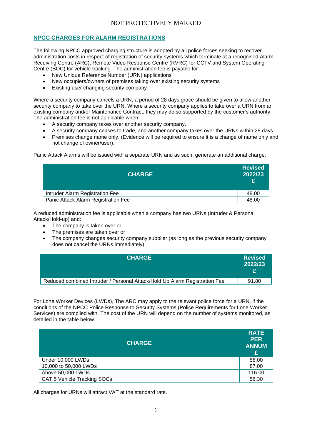## <span id="page-5-0"></span>**NPCC CHARGES FOR ALARM REGISTRATIONS**

The following NPCC approved charging structure is adopted by all police forces seeking to recover administration costs in respect of registration of security systems which terminate at a recognised Alarm Receiving Centre (ARC), Remote Video Response Centre (RVRC) for CCTV and System Operating Centre (SOC) for vehicle tracking. The administration fee is payable for:

- New Unique Reference Number (URN) applications
- New occupiers/owners of premises taking over existing security systems
- Existing user changing security company

Where a security company cancels a URN, a period of 28 days grace should be given to allow another security company to take over the URN. Where a security company applies to take over a URN from an existing company and/or Maintenance Contract, they may do so supported by the customer's authority. The administration fee is not applicable when:

- A security company takes over another security company.
- A security company ceases to trade, and another company takes over the URNs within 28 days
- Premises change name only. (Evidence will be required to ensure it is a change of name only and not change of owner/user).

Panic Attack Alarms will be issued with a separate URN and as such, generate an additional charge.

| <b>CHARGE</b>                       | <b>Revised</b><br>2022/23<br>£ |
|-------------------------------------|--------------------------------|
| Intruder Alarm Registration Fee     | 48.00                          |
| Panic Attack Alarm Registration Fee | 48.00                          |

A reduced administration fee is applicable when a company has two URNs (Intruder & Personal Attack/Hold-up) and:

- The company is taken over or
- The premises are taken over or
- The company changes security company supplier (as long as the previous security company does not cancel the URNs immediately).

| <b>CHARGE</b>                                                              | <b>Revised</b><br>2022/23<br>£. |
|----------------------------------------------------------------------------|---------------------------------|
| Reduced combined Intruder / Personal Attack/Hold Up Alarm Registration Fee | 91.80                           |

For Lone Worker Devices (LWDs), The ARC may apply to the relevant police force for a URN, if the conditions of the NPCC Police Response to Security Systems (Police Requirements for Lone Worker Services) are complied with. The cost of the URN will depend on the number of systems monitored, as detailed in the table below.

| <b>CHARGE</b>               | <b>RATE</b><br><b>PER</b><br><b>ANNUM</b><br>£ |
|-----------------------------|------------------------------------------------|
| Under 10,000 LWDs           | 58.00                                          |
| 10,000 to 50,000 LWDs       | 87.00                                          |
| Above 50,000 LWDs           | 116.00                                         |
| CAT 5 Vehicle Tracking SOCs | 56.30                                          |

All charges for URNs will attract VAT at the standard rate.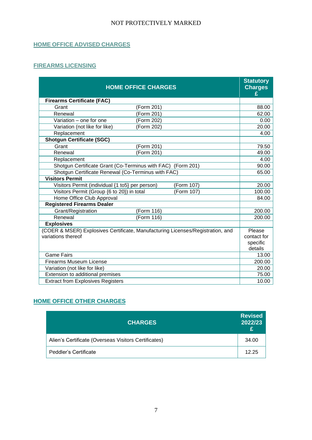## **HOME OFFICE ADVISED CHARGES**

## **FIREARMS LICENSING**

| <b>HOME OFFICE CHARGES</b>                                                     | <b>Statutory</b><br><b>Charges</b><br>£ |
|--------------------------------------------------------------------------------|-----------------------------------------|
| <b>Firearms Certificate (FAC)</b>                                              |                                         |
| Grant<br>(Form 201)                                                            | 88.00                                   |
| (Form 201)<br>Renewal                                                          | 62.00                                   |
| Variation - one for one<br>(Form 202)                                          | 0.00                                    |
| Variation (not like for like)<br>(Form 202)                                    | 20.00                                   |
| Replacement                                                                    | 4.00                                    |
| <b>Shotgun Certificate (SGC)</b>                                               |                                         |
| Grant<br>(Form 201)                                                            | 79.50                                   |
| (Form 201)<br>Renewal                                                          | 49.00                                   |
| Replacement                                                                    | 4.00                                    |
| Shotgun Certificate Grant (Co-Terminus with FAC) (Form 201)                    | 90.00                                   |
| Shotgun Certificate Renewal (Co-Terminus with FAC)                             | 65.00                                   |
| <b>Visitors Permit</b>                                                         |                                         |
| Visitors Permit (individual {1 to5} per person)<br>(Form 107)                  | 20.00                                   |
| Visitors Permit (Group {6 to 20}) in total<br>(Form 107)                       | 100.00                                  |
| Home Office Club Approval                                                      | 84.00                                   |
| <b>Registered Firearms Dealer</b>                                              |                                         |
| Grant/Registration<br>(Form 116)                                               | 200.00                                  |
| Renewal<br>(Form 116)                                                          | 200.00                                  |
| <b>Explosives</b>                                                              |                                         |
| (COER & MSER) Explosives Certificate, Manufacturing Licenses/Registration, and | Please                                  |
| variations thereof                                                             | contact for                             |
|                                                                                | specific                                |
|                                                                                | details                                 |
| <b>Game Fairs</b>                                                              | 13.00                                   |
| <b>Firearms Museum License</b>                                                 | 200.00                                  |
| Variation (not like for like)                                                  | 20.00                                   |
| Extension to additional premises                                               | 75.00                                   |
| <b>Extract from Explosives Registers</b>                                       | 10.00                                   |

## <span id="page-6-0"></span>**HOME OFFICE OTHER CHARGES**

| <b>CHARGES</b>                                       | <b>Revised</b><br>2022/23<br>£ |
|------------------------------------------------------|--------------------------------|
| Alien's Certificate (Overseas Visitors Certificates) | 34.00                          |
| Peddler's Certificate                                | 12.25                          |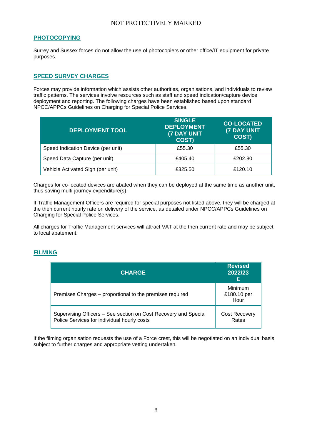#### <span id="page-7-0"></span>**PHOTOCOPYING**

Surrey and Sussex forces do not allow the use of photocopiers or other office/IT equipment for private purposes.

## <span id="page-7-1"></span>**SPEED SURVEY CHARGES**

Forces may provide information which assists other authorities, organisations, and individuals to review traffic patterns. The services involve resources such as staff and speed indication/capture device deployment and reporting. The following charges have been established based upon standard NPCC/APPCs Guidelines on Charging for Special Police Services.

| <b>DEPLOYMENT TOOL</b>             | <b>SINGLE</b><br><b>DEPLOYMENT</b><br><b>(7 DAY UNIT</b><br><b>COST)</b> | <b>CO-LOCATED</b><br><b>(7 DAY UNIT)</b><br>COST) |
|------------------------------------|--------------------------------------------------------------------------|---------------------------------------------------|
| Speed Indication Device (per unit) | £55.30                                                                   | £55.30                                            |
| Speed Data Capture (per unit)      | £405.40                                                                  | £202.80                                           |
| Vehicle Activated Sign (per unit)  | £325.50                                                                  | £120.10                                           |

Charges for co-located devices are abated when they can be deployed at the same time as another unit, thus saving multi-journey expenditure(s).

If Traffic Management Officers are required for special purposes not listed above, they will be charged at the then current hourly rate on delivery of the service, as detailed under NPCC/APPCs Guidelines on Charging for Special Police Services.

All charges for Traffic Management services will attract VAT at the then current rate and may be subject to local abatement.

#### <span id="page-7-2"></span>**FILMING**

| <b>CHARGE</b>                                                                                                  | <b>Revised</b><br>2022/23<br>£        |
|----------------------------------------------------------------------------------------------------------------|---------------------------------------|
| Premises Charges – proportional to the premises required                                                       | <b>Minimum</b><br>£180.10 per<br>Hour |
| Supervising Officers – See section on Cost Recovery and Special<br>Police Services for individual hourly costs | <b>Cost Recovery</b><br>Rates         |

If the filming organisation requests the use of a Force crest, this will be negotiated on an individual basis, subject to further charges and appropriate vetting undertaken.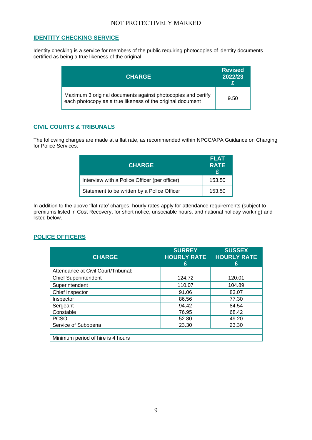## <span id="page-8-0"></span>**IDENTITY CHECKING SERVICE**

Identity checking is a service for members of the public requiring photocopies of identity documents certified as being a true likeness of the original.

| <b>CHARGE</b>                                                                                                              | <b>Revised</b><br>2022/23<br>£ |
|----------------------------------------------------------------------------------------------------------------------------|--------------------------------|
| Maximum 3 original documents against photocopies and certify<br>each photocopy as a true likeness of the original document | 9.50                           |

## <span id="page-8-1"></span>**CIVIL COURTS & TRIBUNALS**

The following charges are made at a flat rate, as recommended within NPCC/APA Guidance on Charging for Police Services.

| <b>CHARGE</b>                                 | FLAT<br><b>RATE</b><br>£. |
|-----------------------------------------------|---------------------------|
| Interview with a Police Officer (per officer) | 153.50                    |
| Statement to be written by a Police Officer   | 153.50                    |

In addition to the above 'flat rate' charges, hourly rates apply for attendance requirements (subject to premiums listed in Cost Recovery, for short notice, unsociable hours, and national holiday working) and listed below.

## <span id="page-8-2"></span>**POLICE OFFICERS**

| <b>CHARGE</b>                       | <b>SURREY</b><br><b>HOURLY RATE</b><br>£ | <b>SUSSEX</b><br><b>HOURLY RATE</b><br>£ |
|-------------------------------------|------------------------------------------|------------------------------------------|
| Attendance at Civil Court/Tribunal: |                                          |                                          |
| <b>Chief Superintendent</b>         | 124.72                                   | 120.01                                   |
| Superintendent                      | 110.07                                   | 104.89                                   |
| Chief Inspector                     | 91.06                                    | 83.07                                    |
| Inspector                           | 86.56                                    | 77.30                                    |
| Sergeant                            | 94.42                                    | 84.54                                    |
| Constable                           | 76.95                                    | 68.42                                    |
| <b>PCSO</b>                         | 52.80                                    | 49.20                                    |
| Service of Subpoena                 | 23.30                                    | 23.30                                    |
| Minimum period of hire is 4 hours   |                                          |                                          |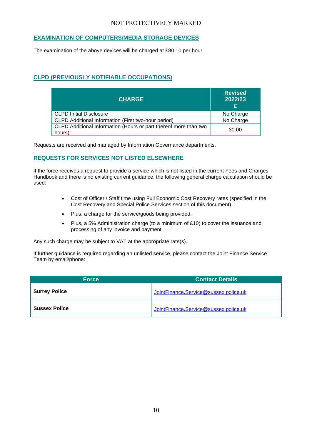## <span id="page-9-0"></span>**EXAMINATION OF COMPUTERS/MEDIA STORAGE DEVICES**

The examination of the above devices will be charged at £80.10 per hour.

## <span id="page-9-1"></span>**CLPD (PREVIOUSLY NOTIFIABLE OCCUPATIONS)**

| <b>CHARGE</b>                                                              | <b>Revised</b><br>2022/23<br>£ |
|----------------------------------------------------------------------------|--------------------------------|
| <b>CLPD Initial Disclosure</b>                                             | No Charge                      |
| CLPD Additional Information (First two-hour period)                        | No Charge                      |
| CLPD Additional Information (Hours or part thereof more than two<br>hours) | 30.00                          |

Requests are received and managed by Information Governance departments.

## <span id="page-9-2"></span>**REQUESTS FOR SERVICES NOT LISTED ELSEWHERE**

If the force receives a request to provide a service which is not listed in the current Fees and Charges Handbook and there is no existing current guidance, the following general charge calculation should be used:

- Cost of Officer / Staff time using Full Economic Cost Recovery rates (specified in the Cost Recovery and Special Police Services section of this document).
- Plus, a charge for the service/goods being provided.
- Plus, a 5% Administration charge (to a minimum of £10) to cover the issuance and processing of any invoice and payment.

Any such charge may be subject to VAT at the appropriate rate(s).

If further guidance is required regarding an unlisted service, please contact the Joint Finance Service Team by email/phone:

| <b>Force</b>         | <b>Contact Details</b>                |
|----------------------|---------------------------------------|
| <b>Surrey Police</b> | JointFinance.Service@sussex.police.uk |
| <b>Sussex Police</b> | JointFinance.Service@sussex.police.uk |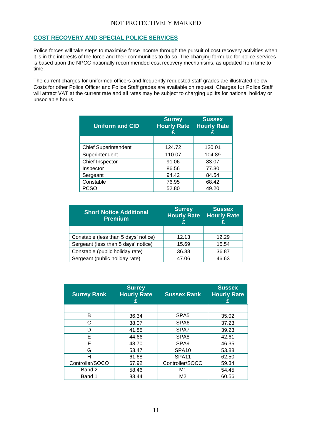#### <span id="page-10-0"></span>**COST RECOVERY AND SPECIAL POLICE SERVICES**

Police forces will take steps to maximise force income through the pursuit of cost recovery activities when it is in the interests of the force and their communities to do so. The charging formulae for police services is based upon the NPCC nationally recommended cost recovery mechanisms, as updated from time to time.

The current charges for uniformed officers and frequently requested staff grades are illustrated below. Costs for other Police Officer and Police Staff grades are available on request. Charges for Police Staff will attract VAT at the current rate and all rates may be subject to charging uplifts for national holiday or unsociable hours.

| <b>Uniform and CID</b>      | <b>Surrey</b><br><b>Hourly Rate</b><br>£ | <b>Sussex</b><br><b>Hourly Rate</b> |
|-----------------------------|------------------------------------------|-------------------------------------|
|                             |                                          |                                     |
| <b>Chief Superintendent</b> | 124.72                                   | 120.01                              |
| Superintendent              | 110.07                                   | 104.89                              |
| Chief Inspector             | 91.06                                    | 83.07                               |
| Inspector                   | 86.56                                    | 77.30                               |
| Sergeant                    | 94.42                                    | 84.54                               |
| Constable                   | 76.95                                    | 68.42                               |
| PCSO                        | 52.80                                    | 49.20                               |

| <b>Short Notice Additional</b><br><b>Premium</b> | <b>Surrey</b><br><b>Hourly Rate</b> | <b>Sussex</b><br><b>Hourly Rate</b> |
|--------------------------------------------------|-------------------------------------|-------------------------------------|
|                                                  |                                     |                                     |
| Constable (less than 5 days' notice)             | 12.13                               | 12.29                               |
| Sergeant (less than 5 days' notice)              | 15.69                               | 15.54                               |
| Constable (public holiday rate)                  | 36.38                               | 36.87                               |
| Sergeant (public holiday rate)                   | 47.06                               | 46.63                               |

| <b>Surrey Rank</b> | <b>Surrey</b><br><b>Hourly Rate</b> | <b>Sussex Rank</b> | <b>Sussex</b><br><b>Hourly Rate</b><br>£ |
|--------------------|-------------------------------------|--------------------|------------------------------------------|
|                    |                                     |                    |                                          |
| в                  | 36.34                               | SPA <sub>5</sub>   | 35.02                                    |
| C                  | 38.07                               | SPA6               | 37.23                                    |
| D                  | 41.85                               | SPA7               | 39.23                                    |
| Е                  | 44.66                               | SPA <sub>8</sub>   | 42.61                                    |
| F                  | 48.70                               | SPA <sub>9</sub>   | 46.35                                    |
| G                  | 53.47                               | SPA <sub>10</sub>  | 53.88                                    |
| н                  | 61.68                               | SPA11              | 62.50                                    |
| Controller/SOCO    | 67.92                               | Controller/SOCO    | 59.34                                    |
| Band 2             | 58.46                               | M1                 | 54.45                                    |
| Band 1             | 83.44                               | M <sub>2</sub>     | 60.56                                    |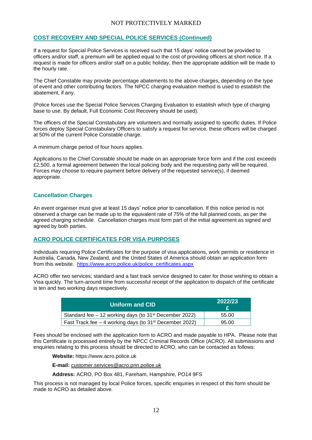## **COST RECOVERY AND SPECIAL POLICE SERVICES (Continued)**

If a request for Special Police Services is received such that 15 days' notice cannot be provided to officers and/or staff, a premium will be applied equal to the cost of providing officers at short notice. If a request is made for officers and/or staff on a public holiday, then the appropriate addition will be made to the hourly rate.

The Chief Constable may provide percentage abatements to the above charges, depending on the type of event and other contributing factors. The NPCC charging evaluation method is used to establish the abatement, if any.

(Police forces use the Special Police Services Charging Evaluation to establish which type of charging base to use. By default, Full Economic Cost Recovery should be used).

The officers of the Special Constabulary are volunteers and normally assigned to specific duties. If Police forces deploy Special Constabulary Officers to satisfy a request for service, these officers will be charged at 50% of the current Police Constable charge.

A minimum charge period of four hours applies.

Applications to the Chief Constable should be made on an appropriate force form and if the cost exceeds £2,500, a formal agreement between the local policing body and the requesting party will be required. Forces may choose to require payment before delivery of the requested service(s), if deemed appropriate.

#### **Cancellation Charges**

An event organiser must give at least 15 days' notice prior to cancellation. If this notice period is not observed a charge can be made up to the equivalent rate of 75% of the full planned costs, as per the agreed charging schedule. Cancellation charges must form part of the initial agreement as signed and agreed by both parties.

#### <span id="page-11-0"></span>**ACRO POLICE CERTIFICATES FOR VISA PURPOSES**

Individuals requiring Police Certificates for the purpose of visa applications, work permits or residence in Australia, Canada, New Zealand, and the United States of America should obtain an application form from this website. [https://www.acro.police.uk/police\\_certificates.aspx](https://www.acro.police.uk/police_certificates.aspx)

ACRO offer two services; standard and a fast track service designed to cater for those wishing to obtain a Visa quickly. The turn-around time from successful receipt of the application to dispatch of the certificate is ten and two working days respectively.

| <b>Uniform and CID</b>                                                | 2022/23 |
|-----------------------------------------------------------------------|---------|
| Standard fee $-12$ working days (to 31 <sup>st</sup> December 2022)   | 55.00   |
| Fast Track fee $-$ 4 working days (to 31 <sup>st</sup> December 2022) | 95.00   |

Fees should be enclosed with the application form to ACRO and made payable to HPA. Please note that this Certificate is processed entirely by the NPCC Criminal Records Office (ACRO). All submissions and enquiries relating to this process should be directed to ACRO, who can be contacted as follows:

**Website:** https://www.acro.police.uk

**E-mail:** [customer.services@acro.pnn.police.uk](mailto:customer.services@acro.pnn.police.uk) 

**Address:** ACRO, PO Box 481, Fareham, Hampshire, PO14 9FS

This process is not managed by local Police forces, specific enquiries in respect of this form should be made to ACRO as detailed above.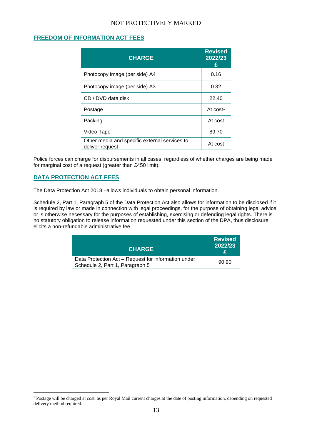## <span id="page-12-0"></span>**FREEDOM OF INFORMATION ACT FEES**

| <b>CHARGE</b>                                                    | <b>Revised</b><br>2022/23<br>F |
|------------------------------------------------------------------|--------------------------------|
| Photocopy image (per side) A4                                    | 0.16                           |
| Photocopy image (per side) A3                                    | 0.32                           |
| CD / DVD data disk                                               | 22.40                          |
| Postage                                                          | At $cost1$                     |
| Packing                                                          | At cost                        |
| Video Tape                                                       | 89.70                          |
| Other media and specific external services to<br>deliver request | At cost                        |

Police forces can charge for disbursements in all cases, regardless of whether charges are being made for marginal cost of a request (greater than £450 limit).

#### <span id="page-12-1"></span>**DATA PROTECTION ACT FEES**

The Data Protection Act 2018 –allows individuals to obtain personal information.

Schedule 2, Part 1, Paragraph 5 of the Data Protection Act also allows for information to be disclosed if it is required by law or made in connection with legal proceedings, for the purpose of obtaining legal advice or is otherwise necessary for the purposes of establishing, exercising or defending legal rights. There is no statutory obligation to release information requested under this section of the DPA, thus disclosure elicits a non-refundable administrative fee.

| <b>CHARGE</b>                                                                          | <b>Revised</b><br>2022/23<br>£ |
|----------------------------------------------------------------------------------------|--------------------------------|
| Data Protection Act - Request for information under<br>Schedule 2, Part 1, Paragraph 5 | 90.90                          |

<sup>&</sup>lt;sup>1</sup> Postage will be charged at cost, as per Royal Mail current charges at the date of posting information, depending on requested delivery method required.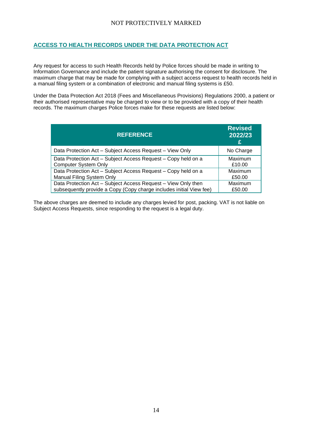## <span id="page-13-0"></span>**ACCESS TO HEALTH RECORDS UNDER THE DATA PROTECTION ACT**

Any request for access to such Health Records held by Police forces should be made in writing to Information Governance and include the patient signature authorising the consent for disclosure. The maximum charge that may be made for complying with a subject access request to health records held in a manual filing system or a combination of electronic and manual filing systems is £50.

Under the Data Protection Act 2018 (Fees and Miscellaneous Provisions) Regulations 2000, a patient or their authorised representative may be charged to view or to be provided with a copy of their health records. The maximum charges Police forces make for these requests are listed below:

| <b>REFERENCE</b>                                                    | <b>Revised</b><br>2022/23<br>£ |
|---------------------------------------------------------------------|--------------------------------|
| Data Protection Act - Subject Access Request - View Only            | No Charge                      |
| Data Protection Act - Subject Access Request - Copy held on a       | Maximum                        |
| <b>Computer System Only</b>                                         | £10.00                         |
| Data Protection Act - Subject Access Request - Copy held on a       | Maximum                        |
| <b>Manual Filing System Only</b>                                    | £50.00                         |
| Data Protection Act - Subject Access Request - View Only then       | Maximum                        |
| subsequently provide a Copy (Copy charge includes initial View fee) | £50.00                         |

The above charges are deemed to include any charges levied for post, packing. VAT is not liable on Subject Access Requests, since responding to the request is a legal duty.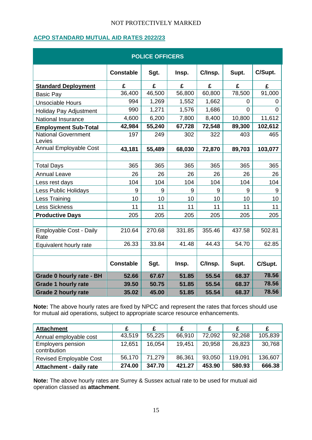## <span id="page-14-0"></span>**ACPO STANDARD MUTUAL AID RATES 2022/23**

| <b>POLICE OFFICERS</b>               |                  |        |        |         |                |                |
|--------------------------------------|------------------|--------|--------|---------|----------------|----------------|
|                                      | <b>Constable</b> | Sgt.   | Insp.  | C/Insp. | Supt.          | C/Supt.        |
| <b>Standard Deployment</b>           | £                | £      | £      | £       | £              | £              |
| <b>Basic Pay</b>                     | 36,400           | 46,500 | 56,800 | 60,800  | 78,500         | 91,000         |
| <b>Unsociable Hours</b>              | 994              | 1,269  | 1,552  | 1,662   | $\overline{0}$ | $\overline{0}$ |
| Holiday Pay Adjustment               | 990              | 1,271  | 1,576  | 1,686   | $\overline{0}$ | $\Omega$       |
| National Insurance                   | 4,600            | 6,200  | 7,800  | 8,400   | 10,800         | 11,612         |
| <b>Employment Sub-Total</b>          | 42,984           | 55,240 | 67,728 | 72,548  | 89,300         | 102,612        |
| <b>National Government</b><br>Levies | 197              | 249    | 302    | 322     | 403            | 465            |
| <b>Annual Employable Cost</b>        | 43,181           | 55,489 | 68,030 | 72,870  | 89,703         | 103,077        |
|                                      |                  |        |        |         |                |                |
| <b>Total Days</b>                    | 365              | 365    | 365    | 365     | 365            | 365            |
| <b>Annual Leave</b>                  | 26               | 26     | 26     | 26      | 26             | 26             |
| Less rest days                       | 104              | 104    | 104    | 104     | 104            | 104            |
| Less Public Holidays                 | 9                | 9      | 9      | 9       | 9              | 9              |
| Less Training                        | 10               | 10     | 10     | 10      | 10             | 10             |
| <b>Less Sickness</b>                 | 11               | 11     | 11     | 11      | 11             | 11             |
| <b>Productive Days</b>               | 205              | 205    | 205    | 205     | 205            | 205            |
| Employable Cost - Daily<br>Rate      | 210.64           | 270.68 | 331.85 | 355.46  | 437.58         | 502.81         |
| Equivalent hourly rate               | 26.33            | 33.84  | 41.48  | 44.43   | 54.70          | 62.85          |
|                                      |                  |        |        |         |                |                |
|                                      | <b>Constable</b> | Sgt.   | Insp.  | C/Insp. | Supt.          | C/Supt.        |
| Grade 0 hourly rate - BH             | 52.66            | 67.67  | 51.85  | 55.54   | 68.37          | 78.56          |
| <b>Grade 1 hourly rate</b>           | 39.50            | 50.75  | 51.85  | 55.54   | 68.37          | 78.56          |
| <b>Grade 2 hourly rate</b>           | 35.02            | 45.00  | 51.85  | 55.54   | 68.37          | 78.56          |

**Note:** The above hourly rates are fixed by NPCC and represent the rates that forces should use for mutual aid operations, subject to appropriate scarce resource enhancements.

| <b>Attachment</b>                        | £      |        |        |        |         |         |
|------------------------------------------|--------|--------|--------|--------|---------|---------|
| Annual employable cost                   | 43,519 | 55,225 | 66,910 | 72,092 | 92,268  | 105,839 |
| <b>Employers pension</b><br>contribution | 12,651 | 16.054 | 19,451 | 20.958 | 26,823  | 30,768  |
| <b>Revised Employable Cost</b>           | 56,170 | 71.279 | 86,361 | 93,050 | 119.091 | 136,607 |
| Attachment - daily rate                  | 274.00 | 347.70 | 421.27 | 453.90 | 580.93  | 666.38  |

**Note:** The above hourly rates are Surrey & Sussex actual rate to be used for mutual aid operation classed as **attachment**.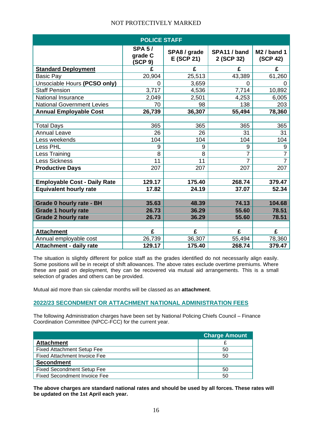| <b>POLICE STAFF</b>                 |                                     |                            |                            |                           |  |
|-------------------------------------|-------------------------------------|----------------------------|----------------------------|---------------------------|--|
|                                     | <b>SPA 5/</b><br>grade C<br>(SCP 9) | SPA8 / grade<br>E (SCP 21) | SPA11 / band<br>2 (SCP 32) | $M2$ / band 1<br>(SCP 42) |  |
| <b>Standard Deployment</b>          | £                                   | £                          | £                          | £                         |  |
| <b>Basic Pay</b>                    | 20,904                              | 25,513                     | 43,389                     | 61,260                    |  |
| Unsociable Hours (PCSO only)        | $\Omega$                            | 3,659                      | 0                          | 0                         |  |
| <b>Staff Pension</b>                | 3,717                               | 4,536                      | 7,714                      | 10,892                    |  |
| <b>National Insurance</b>           | 2,049                               | 2,501                      | 4,253                      | 6,005                     |  |
| <b>National Government Levies</b>   | 70                                  | 98                         | 138                        | 203                       |  |
| <b>Annual Employable Cost</b>       | 26,739                              | 36,307                     | 55,494                     | 78,360                    |  |
|                                     |                                     |                            |                            |                           |  |
| <b>Total Days</b>                   | 365                                 | 365                        | 365                        | 365                       |  |
| <b>Annual Leave</b>                 | 26                                  | 26                         | 31                         | 31                        |  |
| Less weekends                       | 104                                 | 104                        | 104                        | 104                       |  |
| Less PHL                            | 9                                   | 9                          | 9                          | 9                         |  |
| Less Training                       | 8                                   | 8                          | $\overline{7}$             | $\overline{7}$            |  |
| <b>Less Sickness</b>                | 11                                  | 11                         | $\overline{7}$             | $\overline{7}$            |  |
| <b>Productive Days</b>              | 207                                 | 207                        | 207                        | 207                       |  |
|                                     |                                     |                            |                            |                           |  |
| <b>Employable Cost - Daily Rate</b> | 129.17                              | 175.40                     | 268.74                     | 379.47                    |  |
| <b>Equivalent hourly rate</b>       | 17.82                               | 24.19                      | 37.07                      | 52.34                     |  |
|                                     |                                     |                            |                            |                           |  |
| <b>Grade 0 hourly rate - BH</b>     | 35.63                               | 48.39                      | 74.13                      | 104.68                    |  |
| <b>Grade 1 hourly rate</b>          | 26.73                               | 36.29                      | 55.60                      | 78.51                     |  |
| <b>Grade 2 hourly rate</b>          | 26.73                               | 36.29                      | 55.60                      | 78.51                     |  |
|                                     |                                     |                            |                            |                           |  |
| <b>Attachment</b>                   | £                                   | £                          | £                          | £                         |  |
| Annual employable cost              | 26,739                              | 36,307                     | 55,494                     | 78,360                    |  |
| <b>Attachment - daily rate</b>      | 129.17                              | 175.40                     | 268.74                     | 379.47                    |  |

The situation is slightly different for police staff as the grades identified do not necessarily align easily. Some positions will be in receipt of shift allowances. The above rates exclude overtime premiums. Where these are paid on deployment, they can be recovered via mutual aid arrangements. This is a small selection of grades and others can be provided.

Mutual aid more than six calendar months will be classed as an **attachment**.

#### <span id="page-15-0"></span>**2022/23 SECONDMENT OR ATTACHMENT NATIONAL ADMINISTRATION FEES**

The following Administration charges have been set by National Policing Chiefs Council – Finance Coordination Committee (NPCC-FCC) for the current year.

|                                     | <b>Charge Amount</b> |
|-------------------------------------|----------------------|
| <b>Attachment</b>                   |                      |
| <b>Fixed Attachment Setup Fee</b>   | 50                   |
| <b>Fixed Attachment Invoice Fee</b> | 50                   |
| <b>Secondment</b>                   |                      |
| <b>Fixed Secondment Setup Fee</b>   | 50                   |
| <b>Fixed Secondment Invoice Fee</b> | 50                   |

**The above charges are standard national rates and should be used by all forces. These rates will be updated on the 1st April each year.**